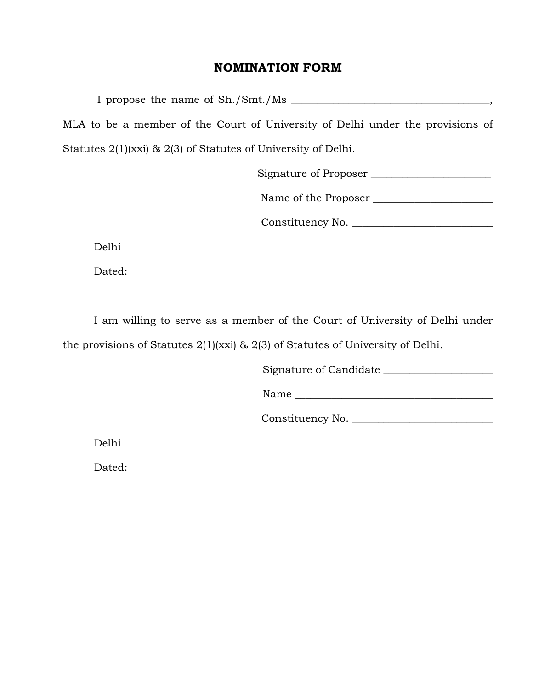## NOMINATION FORM

I propose the name of Sh./Smt./Ms \_\_\_\_\_\_\_\_\_\_\_\_\_\_\_\_\_\_\_\_\_\_\_\_\_\_\_\_\_\_\_\_\_, MLA to be a member of the Court of University of Delhi under the provisions of Statutes 2(1)(xxi) & 2(3) of Statutes of University of Delhi.

Signature of Proposer \_\_\_\_\_\_\_\_\_\_\_\_\_\_\_\_\_\_\_\_\_\_\_

Name of the Proposer \_\_\_\_\_\_\_\_\_\_\_\_\_\_\_\_\_\_\_\_\_\_\_

Constituency No. \_\_\_\_\_\_\_\_\_\_\_\_\_\_\_\_\_\_\_\_\_\_\_\_\_\_\_

Delhi

Dated:

I am willing to serve as a member of the Court of University of Delhi under the provisions of Statutes 2(1)(xxi) & 2(3) of Statutes of University of Delhi.

Signature of Candidate \_\_\_\_\_\_\_\_\_\_\_\_\_\_\_\_\_\_\_\_\_

 $Name$ 

Constituency No. \_\_\_\_\_\_\_\_\_\_\_\_\_\_\_\_\_\_\_\_\_\_\_\_\_\_\_

Delhi

Dated: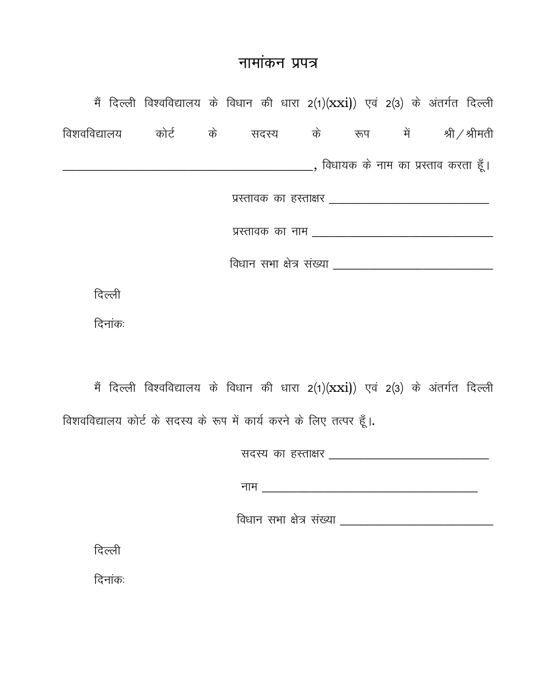## नामांकन प्रपत्र

|  |                                                         |         | मैं दिल्ली विश्वविद्यालय के विधान की धारा 2(1) $(xxi)$ ) एवं 2(3) के अंतर्गत दिल्ली |  |                                                              |  |                                                       |  |  |  |  |  |  |
|--|---------------------------------------------------------|---------|-------------------------------------------------------------------------------------|--|--------------------------------------------------------------|--|-------------------------------------------------------|--|--|--|--|--|--|
|  |                                                         |         |                                                                                     |  | विशवविद्यालय कोर्ट के सदस्य के रूप में श्री $\angle$ श्रीमती |  |                                                       |  |  |  |  |  |  |
|  |                                                         |         |                                                                                     |  |                                                              |  |                                                       |  |  |  |  |  |  |
|  | प्रस्तावकं का हस्ताक्षर _______________________________ |         |                                                                                     |  |                                                              |  |                                                       |  |  |  |  |  |  |
|  |                                                         |         |                                                                                     |  |                                                              |  |                                                       |  |  |  |  |  |  |
|  |                                                         |         |                                                                                     |  |                                                              |  |                                                       |  |  |  |  |  |  |
|  |                                                         | दिल्ली  |                                                                                     |  |                                                              |  |                                                       |  |  |  |  |  |  |
|  |                                                         | दिनांकः |                                                                                     |  |                                                              |  |                                                       |  |  |  |  |  |  |
|  |                                                         |         |                                                                                     |  |                                                              |  |                                                       |  |  |  |  |  |  |
|  |                                                         |         | मैं दिल्ली विश्वविद्यालय के विधान की धारा 2(1)(xxi)) एवं 2(3) के अंतर्गत दिल्ली     |  |                                                              |  |                                                       |  |  |  |  |  |  |
|  |                                                         |         | विशवविद्यालय कोर्ट के सदस्य के रूप में कार्य करने के लिए तत्पर हूँ।.                |  |                                                              |  |                                                       |  |  |  |  |  |  |
|  |                                                         |         |                                                                                     |  |                                                              |  | सदस्य का हस्ताक्षर __________________________________ |  |  |  |  |  |  |
|  |                                                         |         |                                                                                     |  |                                                              |  |                                                       |  |  |  |  |  |  |

दिल्ली

दिनांकः